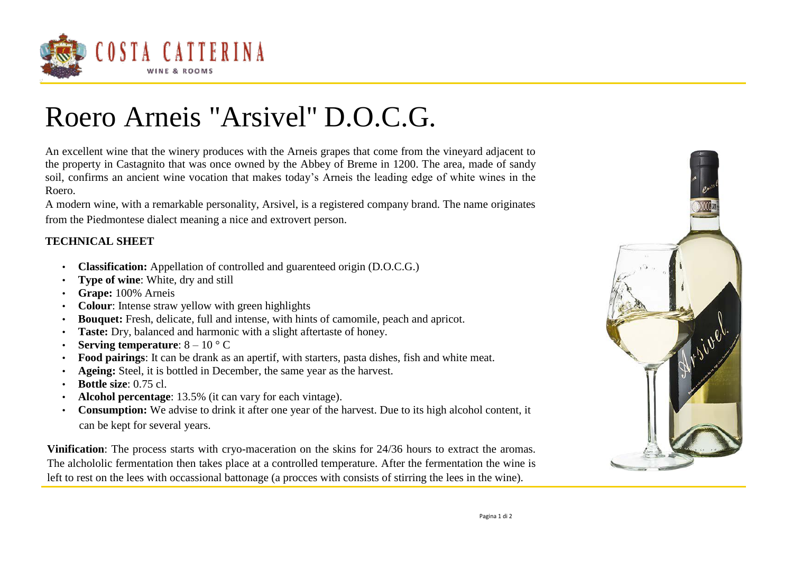

## Roero Arneis "Arsivel'' D.O.C.G.

An excellent wine that the winery produces with the Arneis grapes that come from the vineyard adjacent to the property in Castagnito that was once owned by the Abbey of Breme in 1200. The area, made of sandy soil, confirms an ancient wine vocation that makes today's Arneis the leading edge of white wines in the Roero.

A modern wine, with a remarkable personality, Arsivel, is a registered company brand. The name originates from the Piedmontese dialect meaning a nice and extrovert person.

## **TECHNICAL SHEET**

- **Classification:** Appellation of controlled and guarenteed origin (D.O.C.G.)
- **Type of wine:** White, dry and still
- **Grape:** 100% Arneis
- **Colour**: Intense straw yellow with green highlights
- **Bouquet:** Fresh, delicate, full and intense, with hints of camomile, peach and apricot.
- **Taste:** Dry, balanced and harmonic with a slight aftertaste of honey.
- **Serving temperature**: 8 10 ° C
- **Food pairings**: It can be drank as an apertif, with starters, pasta dishes, fish and white meat.
- **Ageing:** Steel, it is bottled in December, the same year as the harvest.
- **Bottle size**: 0.75 cl.
- **Alcohol percentage**: 13.5% (it can vary for each vintage).
- **Consumption:** We advise to drink it after one year of the harvest. Due to its high alcohol content, it can be kept for several years.

**Vinification**: The process starts with cryo-maceration on the skins for 24/36 hours to extract the aromas. The alchololic fermentation then takes place at a controlled temperature. After the fermentation the wine is left to rest on the lees with occassional battonage (a procces with consists of stirring the lees in the wine).